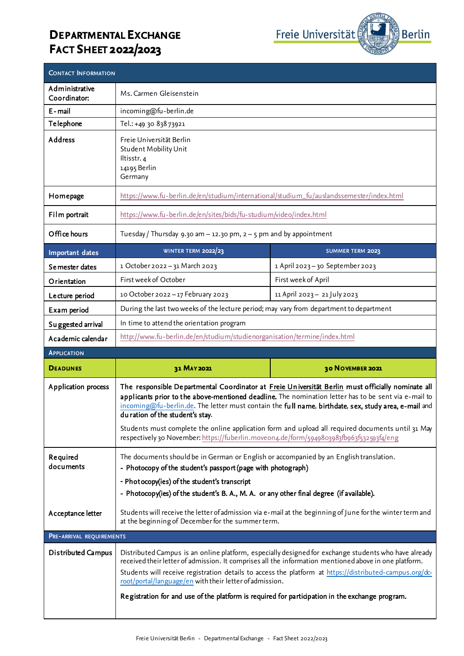## **DEPARTMENTAL EXCHANGE FACT SHEET 2022/2023**



| <b>CONTACT INFORMATION</b>     |                                                                                                                                                                                                                                                                                                                                                                                                                                                                                                                                                       |                                |
|--------------------------------|-------------------------------------------------------------------------------------------------------------------------------------------------------------------------------------------------------------------------------------------------------------------------------------------------------------------------------------------------------------------------------------------------------------------------------------------------------------------------------------------------------------------------------------------------------|--------------------------------|
| Administrative<br>Coordinator: | Ms. Carmen Gleisenstein                                                                                                                                                                                                                                                                                                                                                                                                                                                                                                                               |                                |
| E - mail                       | incoming@fu-berlin.de                                                                                                                                                                                                                                                                                                                                                                                                                                                                                                                                 |                                |
| Telephone                      | Tel.: +49 30 838 73921                                                                                                                                                                                                                                                                                                                                                                                                                                                                                                                                |                                |
| Address                        | Freie Universität Berlin<br>Student Mobility Unit<br>Iltisstr. 4<br>14195 Berlin<br>Germany                                                                                                                                                                                                                                                                                                                                                                                                                                                           |                                |
| Homepage                       | https://www.fu-berlin.de/en/studium/international/studium_fu/auslandssemester/index.html                                                                                                                                                                                                                                                                                                                                                                                                                                                              |                                |
| Film portrait                  | https://www.fu-berlin.de/en/sites/bids/fu-studium/video/index.html                                                                                                                                                                                                                                                                                                                                                                                                                                                                                    |                                |
| Office hours                   | Tuesday / Thursday 9.30 am $-$ 12.30 pm, $2 - 5$ pm and by appointment                                                                                                                                                                                                                                                                                                                                                                                                                                                                                |                                |
| Important dates                | WINTER TERM 2022/23                                                                                                                                                                                                                                                                                                                                                                                                                                                                                                                                   | <b>SUMMER TERM 2023</b>        |
| Se mester dates                | 1 October 2022 - 31 March 2023                                                                                                                                                                                                                                                                                                                                                                                                                                                                                                                        | 1 April 2023-30 September 2023 |
| Orientation                    | First week of October                                                                                                                                                                                                                                                                                                                                                                                                                                                                                                                                 | First week of April            |
| Lecture period                 | 10 October 2022 - 17 February 2023                                                                                                                                                                                                                                                                                                                                                                                                                                                                                                                    | 11 April 2023-21 July 2023     |
| Exam period                    | During the last two weeks of the lecture period; may vary from department to department                                                                                                                                                                                                                                                                                                                                                                                                                                                               |                                |
| Suggested arrival              | In time to attend the orientation program                                                                                                                                                                                                                                                                                                                                                                                                                                                                                                             |                                |
| Academic calendar              | http://www.fu-berlin.de/en/studium/studienorganisation/termine/index.html                                                                                                                                                                                                                                                                                                                                                                                                                                                                             |                                |
| <b>APPLICATION</b>             |                                                                                                                                                                                                                                                                                                                                                                                                                                                                                                                                                       |                                |
| <b>DEADUNES</b>                | 31 MAY 2021                                                                                                                                                                                                                                                                                                                                                                                                                                                                                                                                           | 30 NOVEMBER 2021               |
| Application process            | The responsible Departmental Coordinator at Freie Universität Berlin must officially nominate all<br>applicants prior to the above-mentioned deadline. The nomination letter has to be sent via e-mail to<br>incoming@fu-berlin.de. The letter must contain the full name, birthdate, sex, study area, e-mail and<br>du ration of the student's stay.<br>Students must complete the online application form and upload all required documents until 31 May<br>respectively 30 November: https://fuberlin.moveon4.de/form/5949803983fb963f532593f4/eng |                                |
| Required<br>documents          | The documents should be in German or English or accompanied by an English translation.<br>- Photocopy of the student's passport (page with photograph)<br>- Photocopy(ies) of the student's transcript<br>- Photocopy(ies) of the student's B. A., M. A. or any other final degree (if available).                                                                                                                                                                                                                                                    |                                |
| Acceptance letter              | Students will receive the letter of admission via e-mail at the beginning of June for the winter term and<br>at the beginning of December for the summer term.                                                                                                                                                                                                                                                                                                                                                                                        |                                |
| PRE-ARRIVAL REQUIREMENTS       |                                                                                                                                                                                                                                                                                                                                                                                                                                                                                                                                                       |                                |
| Distributed Campus             | Distributed Campus is an online platform, especially designed for exchange students who have already<br>received their letter of admission. It comprises all the information mentioned above in one platform.<br>Students will receive registration details to access the platform at https://distributed-campus.org/dc-<br>root/portal/language/en with their letter of admission.<br>Registration for and use of the platform is required for participation in the exchange program.                                                                |                                |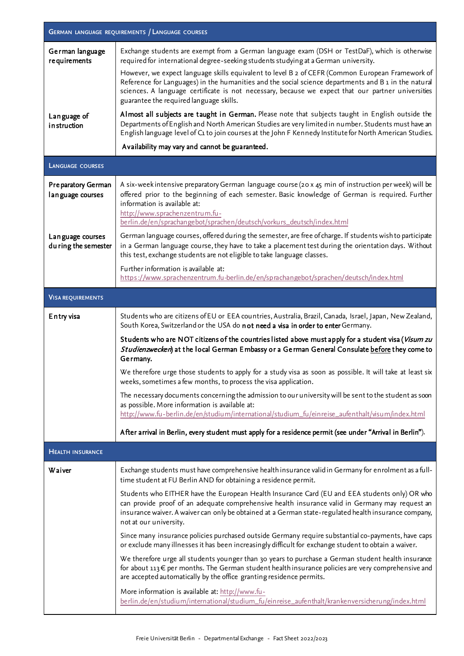| <b>GERMAN LANGUAGE REQUIREMENTS / LANGUAGE COURSES</b> |                                                                                                                                                                                                                                                                                                                                                           |  |
|--------------------------------------------------------|-----------------------------------------------------------------------------------------------------------------------------------------------------------------------------------------------------------------------------------------------------------------------------------------------------------------------------------------------------------|--|
| German language<br>requirements                        | Exchange students are exempt from a German language exam (DSH or TestDaF), which is otherwise<br>required for international degree-seeking students studying at a German university.                                                                                                                                                                      |  |
|                                                        | However, we expect language skills equivalent to level B 2 of CEFR (Common European Framework of<br>Reference for Languages) in the humanities and the social science departments and B 1 in the natural<br>sciences. A language certificate is not necessary, because we expect that our partner universities<br>guarantee the required language skills. |  |
| Language of<br>instruction                             | Almost all subjects are taught in German. Please note that subjects taught in English outside the<br>Departments of English and North American Studies are very limited in number. Students must have an<br>English language level of C1 to join courses at the John F Kennedy Institute for North American Studies.                                      |  |
|                                                        | Availability may vary and cannot be guaranteed.                                                                                                                                                                                                                                                                                                           |  |
| <b>LANGUAGE COURSES</b>                                |                                                                                                                                                                                                                                                                                                                                                           |  |
| Pre paratory German<br>lan guage courses               | A six-week intensive preparatory German language course (20 x 45 min of instruction per week) will be<br>offered prior to the beginning of each semester. Basic knowledge of German is required. Further<br>information is available at:<br>http://www.sprachenzentrum.fu-<br>berlin.de/en/sprachangebot/sprachen/deutsch/vorkurs_deutsch/index.html      |  |
| Language courses<br>du ring the semester               | German language courses, offered during the semester, are free of charge. If students wish to participate<br>in a German language course, they have to take a placement test during the orientation days. Without<br>this test, exchange students are not eligible to take language classes.                                                              |  |
|                                                        | Further information is available at:<br>https://www.sprachenzentrum.fu-berlin.de/en/sprachangebot/sprachen/deutsch/index.html                                                                                                                                                                                                                             |  |
| <b>VISA REQUIREMENTS</b>                               |                                                                                                                                                                                                                                                                                                                                                           |  |
| Entry visa                                             | Students who are citizens of EU or EEA countries, Australia, Brazil, Canada, Israel, Japan, New Zealand,<br>South Korea, Switzerland or the USA do not need a visa in order to enter Germany.                                                                                                                                                             |  |
|                                                        | Students who are NOT citizens of the countries listed above must apply for a student visa (Visum zu<br>Studienzwecken) at the local German Embassy or a German General Consulate before they come to<br>Germany.                                                                                                                                          |  |
|                                                        | We therefore urge those students to apply for a study visa as soon as possible. It will take at least six<br>weeks, sometimes a few months, to process the visa application.                                                                                                                                                                              |  |
|                                                        | The necessary documents concerning the admission to our university will be sent to the student as soon<br>as possible. More information is available at:<br>http://www.fu-berlin.de/en/studium/international/studium_fu/einreise_aufenthalt/visum/index.html                                                                                              |  |
|                                                        | After arrival in Berlin, every student must apply for a residence permit (see under "Arrival in Berlin").                                                                                                                                                                                                                                                 |  |
| <b>HEALTH INSURANCE</b>                                |                                                                                                                                                                                                                                                                                                                                                           |  |
| Waiver                                                 | Exchange students must have comprehensive health insurance valid in Germany for enrolment as a full-<br>time student at FU Berlin AND for obtaining a residence permit.                                                                                                                                                                                   |  |
|                                                        | Students who EITHER have the European Health Insurance Card (EU and EEA students only) OR who<br>can provide proof of an adequate comprehensive health insurance valid in Germany may request an<br>insurance waiver. A waiver can only be obtained at a German state-regulated health insurance company,<br>not at our university.                       |  |
|                                                        | Since many insurance policies purchased outside Germany require substantial co-payments, have caps<br>or exclude many illnesses it has been increasingly difficult for exchange student to obtain a waiver.                                                                                                                                               |  |
|                                                        | We therefore urge all students younger than 30 years to purchase a German student health insurance<br>for about $113 \in$ per months. The German student health insurance policies are very comprehensive and<br>are accepted automatically by the office granting residence permits.                                                                     |  |
|                                                        | More information is available at: http://www.fu-<br>berlin.de/en/studium/international/studium_fu/einreise_aufenthalt/krankenversicherung/index.html                                                                                                                                                                                                      |  |